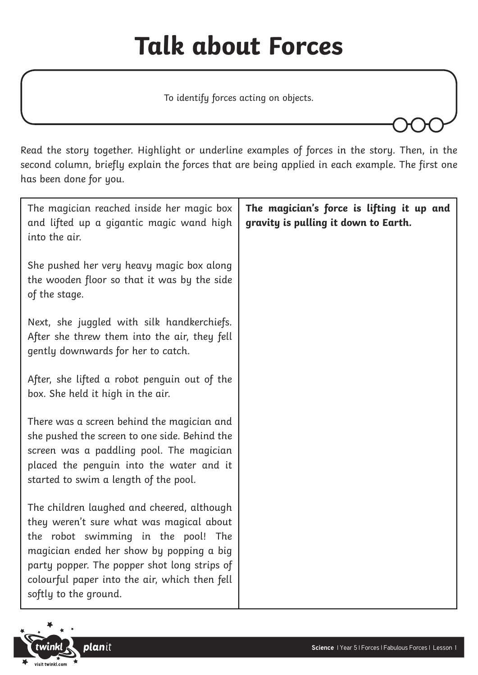## **Talk about Forces**

To identify forces acting on objects.

Read the story together. Highlight or underline examples of forces in the story. Then, in the second column, briefly explain the forces that are being applied in each example. The first one has been done for you.

| The magician reached inside her magic box<br>and lifted up a gigantic magic wand high<br>into the air.                                                                                                                                                                                              | The magician's force is lifting it up and<br>gravity is pulling it down to Earth. |
|-----------------------------------------------------------------------------------------------------------------------------------------------------------------------------------------------------------------------------------------------------------------------------------------------------|-----------------------------------------------------------------------------------|
| She pushed her very heavy magic box along<br>the wooden floor so that it was by the side<br>of the stage.                                                                                                                                                                                           |                                                                                   |
| Next, she juggled with silk handkerchiefs.<br>After she threw them into the air, they fell<br>gently downwards for her to catch.                                                                                                                                                                    |                                                                                   |
| After, she lifted a robot penguin out of the<br>box. She held it high in the air.                                                                                                                                                                                                                   |                                                                                   |
| There was a screen behind the magician and<br>she pushed the screen to one side. Behind the<br>screen was a paddling pool. The magician<br>placed the penguin into the water and it<br>started to swim a length of the pool.                                                                        |                                                                                   |
| The children laughed and cheered, although<br>they weren't sure what was magical about<br>the robot swimming in the pool! The<br>magician ended her show by popping a big<br>party popper. The popper shot long strips of<br>colourful paper into the air, which then fell<br>softly to the ground. |                                                                                   |